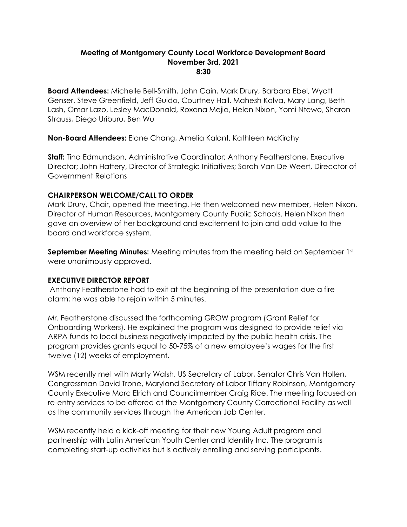#### **Meeting of Montgomery County Local Workforce Development Board November 3rd, 2021 8:30**

**Board Attendees:** Michelle Bell-Smith, John Cain, Mark Drury, Barbara Ebel, Wyatt Genser, Steve Greenfield, Jeff Guido, Courtney Hall, Mahesh Kalva, Mary Lang, Beth Lash, Omar Lazo, Lesley MacDonald, Roxana Mejia, Helen Nixon, Yomi Ntewo, Sharon Strauss, Diego Uriburu, Ben Wu

**Non-Board Attendees:** Elane Chang, Amelia Kalant, Kathleen McKirchy

**Staff:** Tina Edmundson, Administrative Coordinator; Anthony Featherstone, Executive Director; John Hattery, Director of Strategic Initiatives; Sarah Van De Weert, Direcctor of Government Relations

## **CHAIRPERSON WELCOME/CALL TO ORDER**

Mark Drury, Chair, opened the meeting. He then welcomed new member, Helen Nixon, Director of Human Resources, Montgomery County Public Schools. Helen Nixon then gave an overview of her background and excitement to join and add value to the board and workforce system.

**September Meeting Minutes:** Meeting minutes from the meeting held on September 1st were unanimously approved.

#### **EXECUTIVE DIRECTOR REPORT**

Anthony Featherstone had to exit at the beginning of the presentation due a fire alarm; he was able to rejoin within 5 minutes.

Mr. Featherstone discussed the forthcoming GROW program (Grant Relief for Onboarding Workers). He explained the program was designed to provide relief via ARPA funds to local business negatively impacted by the public health crisis. The program provides grants equal to 50-75% of a new employee's wages for the first twelve (12) weeks of employment.

WSM recently met with Marty Walsh, US Secretary of Labor, Senator Chris Van Hollen, Congressman David Trone, Maryland Secretary of Labor Tiffany Robinson, Montgomery County Executive Marc Elrich and Councilmember Craig Rice. The meeting focused on re-entry services to be offered at the Montgomery County Correctional Facility as well as the community services through the American Job Center.

WSM recently held a kick-off meeting for their new Young Adult program and partnership with Latin American Youth Center and Identity Inc. The program is completing start-up activities but is actively enrolling and serving participants.